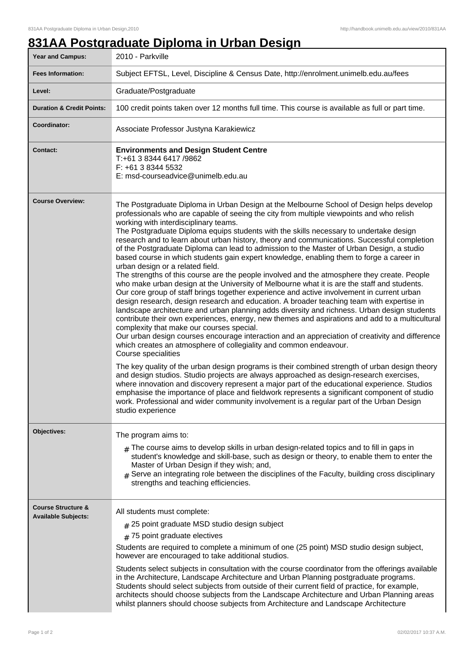## **831AA Postgraduate Diploma in Urban Design**

| <b>Year and Campus:</b>                                     | 2010 - Parkville                                                                                                                                                                                                                                                                                                                                                                                                                                                                                                                                                                                                                                                                                                                                                                                                                                                                                                                                                                                                                                                                                                                                                                                                                                                                                                                                                                                                                                                                                                                                                                                                                                                                                                                                                                                                                                                                                                                                                                                          |  |  |
|-------------------------------------------------------------|-----------------------------------------------------------------------------------------------------------------------------------------------------------------------------------------------------------------------------------------------------------------------------------------------------------------------------------------------------------------------------------------------------------------------------------------------------------------------------------------------------------------------------------------------------------------------------------------------------------------------------------------------------------------------------------------------------------------------------------------------------------------------------------------------------------------------------------------------------------------------------------------------------------------------------------------------------------------------------------------------------------------------------------------------------------------------------------------------------------------------------------------------------------------------------------------------------------------------------------------------------------------------------------------------------------------------------------------------------------------------------------------------------------------------------------------------------------------------------------------------------------------------------------------------------------------------------------------------------------------------------------------------------------------------------------------------------------------------------------------------------------------------------------------------------------------------------------------------------------------------------------------------------------------------------------------------------------------------------------------------------------|--|--|
| <b>Fees Information:</b>                                    | Subject EFTSL, Level, Discipline & Census Date, http://enrolment.unimelb.edu.au/fees                                                                                                                                                                                                                                                                                                                                                                                                                                                                                                                                                                                                                                                                                                                                                                                                                                                                                                                                                                                                                                                                                                                                                                                                                                                                                                                                                                                                                                                                                                                                                                                                                                                                                                                                                                                                                                                                                                                      |  |  |
| Level:                                                      | Graduate/Postgraduate                                                                                                                                                                                                                                                                                                                                                                                                                                                                                                                                                                                                                                                                                                                                                                                                                                                                                                                                                                                                                                                                                                                                                                                                                                                                                                                                                                                                                                                                                                                                                                                                                                                                                                                                                                                                                                                                                                                                                                                     |  |  |
| <b>Duration &amp; Credit Points:</b>                        | 100 credit points taken over 12 months full time. This course is available as full or part time.                                                                                                                                                                                                                                                                                                                                                                                                                                                                                                                                                                                                                                                                                                                                                                                                                                                                                                                                                                                                                                                                                                                                                                                                                                                                                                                                                                                                                                                                                                                                                                                                                                                                                                                                                                                                                                                                                                          |  |  |
| Coordinator:                                                | Associate Professor Justyna Karakiewicz                                                                                                                                                                                                                                                                                                                                                                                                                                                                                                                                                                                                                                                                                                                                                                                                                                                                                                                                                                                                                                                                                                                                                                                                                                                                                                                                                                                                                                                                                                                                                                                                                                                                                                                                                                                                                                                                                                                                                                   |  |  |
| <b>Contact:</b>                                             | <b>Environments and Design Student Centre</b><br>T:+61 3 8344 6417 /9862<br>F: +61 3 8344 5532<br>E: msd-courseadvice@unimelb.edu.au                                                                                                                                                                                                                                                                                                                                                                                                                                                                                                                                                                                                                                                                                                                                                                                                                                                                                                                                                                                                                                                                                                                                                                                                                                                                                                                                                                                                                                                                                                                                                                                                                                                                                                                                                                                                                                                                      |  |  |
| <b>Course Overview:</b>                                     | The Postgraduate Diploma in Urban Design at the Melbourne School of Design helps develop<br>professionals who are capable of seeing the city from multiple viewpoints and who relish<br>working with interdisciplinary teams.<br>The Postgraduate Diploma equips students with the skills necessary to undertake design<br>research and to learn about urban history, theory and communications. Successful completion<br>of the Postgraduate Diploma can lead to admission to the Master of Urban Design, a studio<br>based course in which students gain expert knowledge, enabling them to forge a career in<br>urban design or a related field.<br>The strengths of this course are the people involved and the atmosphere they create. People<br>who make urban design at the University of Melbourne what it is are the staff and students.<br>Our core group of staff brings together experience and active involvement in current urban<br>design research, design research and education. A broader teaching team with expertise in<br>landscape architecture and urban planning adds diversity and richness. Urban design students<br>contribute their own experiences, energy, new themes and aspirations and add to a multicultural<br>complexity that make our courses special.<br>Our urban design courses encourage interaction and an appreciation of creativity and difference<br>which creates an atmosphere of collegiality and common endeavour.<br>Course specialities<br>The key quality of the urban design programs is their combined strength of urban design theory<br>and design studios. Studio projects are always approached as design-research exercises,<br>where innovation and discovery represent a major part of the educational experience. Studios<br>emphasise the importance of place and fieldwork represents a significant component of studio<br>work. Professional and wider community involvement is a regular part of the Urban Design<br>studio experience |  |  |
| Objectives:                                                 | The program aims to:<br>$*$ The course aims to develop skills in urban design-related topics and to fill in gaps in<br>student's knowledge and skill-base, such as design or theory, to enable them to enter the<br>Master of Urban Design if they wish; and,<br>Serve an integrating role between the disciplines of the Faculty, building cross disciplinary<br>strengths and teaching efficiencies.                                                                                                                                                                                                                                                                                                                                                                                                                                                                                                                                                                                                                                                                                                                                                                                                                                                                                                                                                                                                                                                                                                                                                                                                                                                                                                                                                                                                                                                                                                                                                                                                    |  |  |
| <b>Course Structure &amp;</b><br><b>Available Subjects:</b> | All students must complete:<br># 25 point graduate MSD studio design subject<br># 75 point graduate electives<br>Students are required to complete a minimum of one (25 point) MSD studio design subject,<br>however are encouraged to take additional studios.<br>Students select subjects in consultation with the course coordinator from the offerings available<br>in the Architecture, Landscape Architecture and Urban Planning postgraduate programs.<br>Students should select subjects from outside of their current field of practice, for example,<br>architects should choose subjects from the Landscape Architecture and Urban Planning areas<br>whilst planners should choose subjects from Architecture and Landscape Architecture                                                                                                                                                                                                                                                                                                                                                                                                                                                                                                                                                                                                                                                                                                                                                                                                                                                                                                                                                                                                                                                                                                                                                                                                                                                       |  |  |